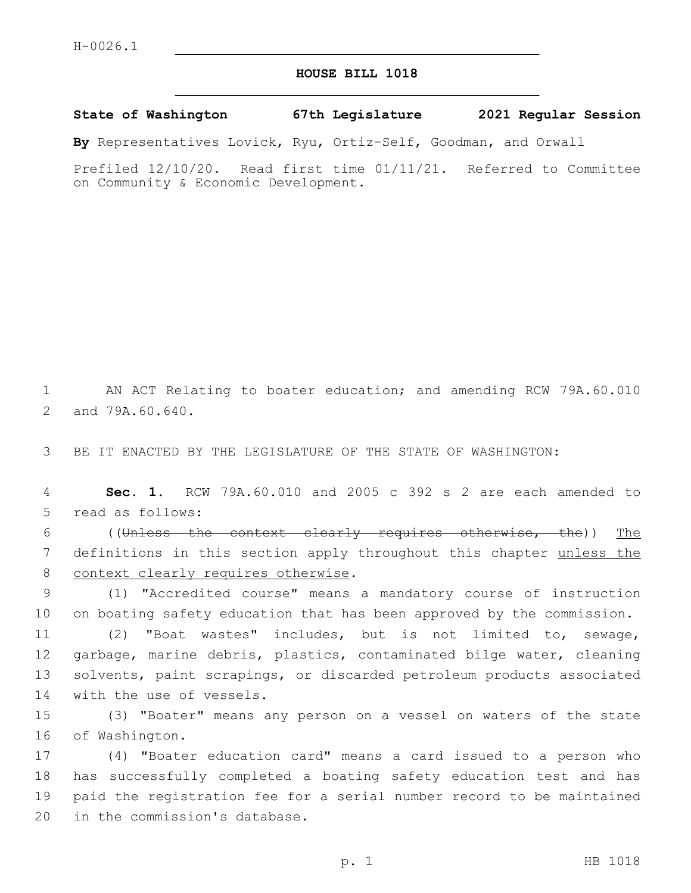## **HOUSE BILL 1018**

**State of Washington 67th Legislature 2021 Regular Session**

**By** Representatives Lovick, Ryu, Ortiz-Self, Goodman, and Orwall

Prefiled 12/10/20. Read first time 01/11/21. Referred to Committee on Community & Economic Development.

1 AN ACT Relating to boater education; and amending RCW 79A.60.010 2 and 79A.60.640.

3 BE IT ENACTED BY THE LEGISLATURE OF THE STATE OF WASHINGTON:

4 **Sec. 1.** RCW 79A.60.010 and 2005 c 392 s 2 are each amended to 5 read as follows:

6 ((Unless the context clearly requires otherwise, the)) The 7 definitions in this section apply throughout this chapter unless the 8 context clearly requires otherwise.

9 (1) "Accredited course" means a mandatory course of instruction 10 on boating safety education that has been approved by the commission.

 (2) "Boat wastes" includes, but is not limited to, sewage, garbage, marine debris, plastics, contaminated bilge water, cleaning solvents, paint scrapings, or discarded petroleum products associated 14 with the use of vessels.

15 (3) "Boater" means any person on a vessel on waters of the state 16 of Washington.

 (4) "Boater education card" means a card issued to a person who has successfully completed a boating safety education test and has paid the registration fee for a serial number record to be maintained 20 in the commission's database.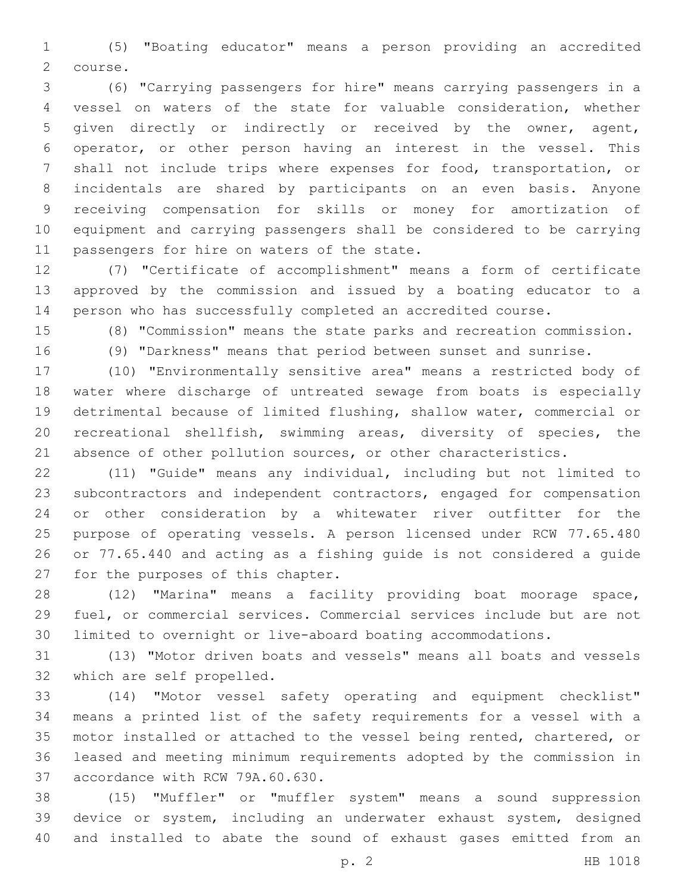(5) "Boating educator" means a person providing an accredited 2 course.

 (6) "Carrying passengers for hire" means carrying passengers in a vessel on waters of the state for valuable consideration, whether given directly or indirectly or received by the owner, agent, operator, or other person having an interest in the vessel. This shall not include trips where expenses for food, transportation, or incidentals are shared by participants on an even basis. Anyone receiving compensation for skills or money for amortization of equipment and carrying passengers shall be considered to be carrying 11 passengers for hire on waters of the state.

 (7) "Certificate of accomplishment" means a form of certificate approved by the commission and issued by a boating educator to a person who has successfully completed an accredited course.

(8) "Commission" means the state parks and recreation commission.

(9) "Darkness" means that period between sunset and sunrise.

 (10) "Environmentally sensitive area" means a restricted body of water where discharge of untreated sewage from boats is especially detrimental because of limited flushing, shallow water, commercial or recreational shellfish, swimming areas, diversity of species, the absence of other pollution sources, or other characteristics.

 (11) "Guide" means any individual, including but not limited to subcontractors and independent contractors, engaged for compensation or other consideration by a whitewater river outfitter for the purpose of operating vessels. A person licensed under RCW 77.65.480 or 77.65.440 and acting as a fishing guide is not considered a guide 27 for the purposes of this chapter.

 (12) "Marina" means a facility providing boat moorage space, fuel, or commercial services. Commercial services include but are not limited to overnight or live-aboard boating accommodations.

 (13) "Motor driven boats and vessels" means all boats and vessels 32 which are self propelled.

 (14) "Motor vessel safety operating and equipment checklist" means a printed list of the safety requirements for a vessel with a motor installed or attached to the vessel being rented, chartered, or leased and meeting minimum requirements adopted by the commission in 37 accordance with RCW 79A.60.630.

 (15) "Muffler" or "muffler system" means a sound suppression device or system, including an underwater exhaust system, designed and installed to abate the sound of exhaust gases emitted from an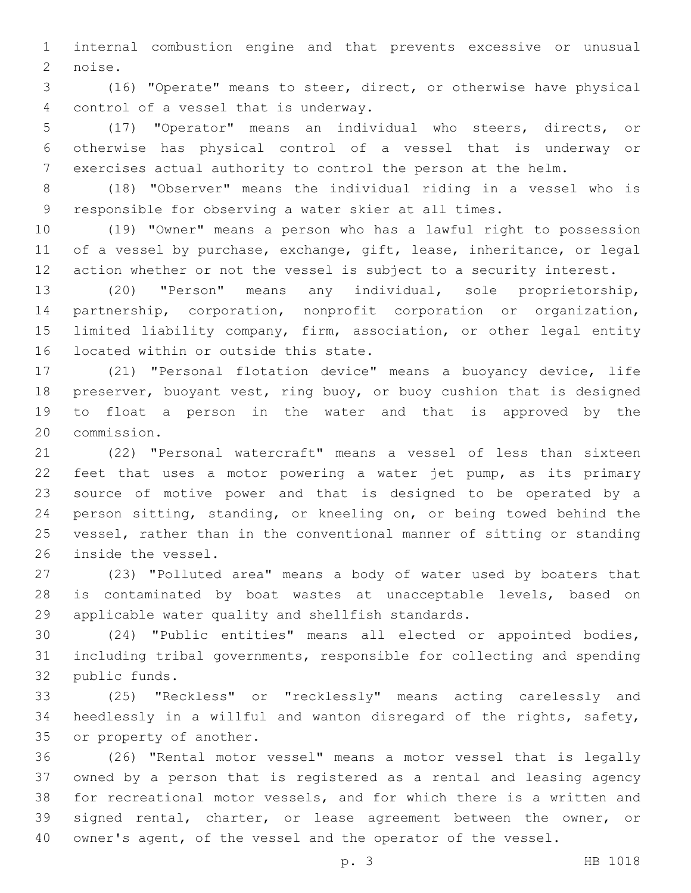internal combustion engine and that prevents excessive or unusual 2 noise.

 (16) "Operate" means to steer, direct, or otherwise have physical 4 control of a vessel that is underway.

 (17) "Operator" means an individual who steers, directs, or otherwise has physical control of a vessel that is underway or exercises actual authority to control the person at the helm.

 (18) "Observer" means the individual riding in a vessel who is responsible for observing a water skier at all times.

 (19) "Owner" means a person who has a lawful right to possession 11 of a vessel by purchase, exchange, gift, lease, inheritance, or legal action whether or not the vessel is subject to a security interest.

 (20) "Person" means any individual, sole proprietorship, partnership, corporation, nonprofit corporation or organization, limited liability company, firm, association, or other legal entity 16 located within or outside this state.

 (21) "Personal flotation device" means a buoyancy device, life preserver, buoyant vest, ring buoy, or buoy cushion that is designed to float a person in the water and that is approved by the 20 commission.

 (22) "Personal watercraft" means a vessel of less than sixteen feet that uses a motor powering a water jet pump, as its primary source of motive power and that is designed to be operated by a person sitting, standing, or kneeling on, or being towed behind the vessel, rather than in the conventional manner of sitting or standing 26 inside the vessel.

 (23) "Polluted area" means a body of water used by boaters that is contaminated by boat wastes at unacceptable levels, based on 29 applicable water quality and shellfish standards.

 (24) "Public entities" means all elected or appointed bodies, including tribal governments, responsible for collecting and spending 32 public funds.

 (25) "Reckless" or "recklessly" means acting carelessly and heedlessly in a willful and wanton disregard of the rights, safety, 35 or property of another.

 (26) "Rental motor vessel" means a motor vessel that is legally owned by a person that is registered as a rental and leasing agency for recreational motor vessels, and for which there is a written and signed rental, charter, or lease agreement between the owner, or owner's agent, of the vessel and the operator of the vessel.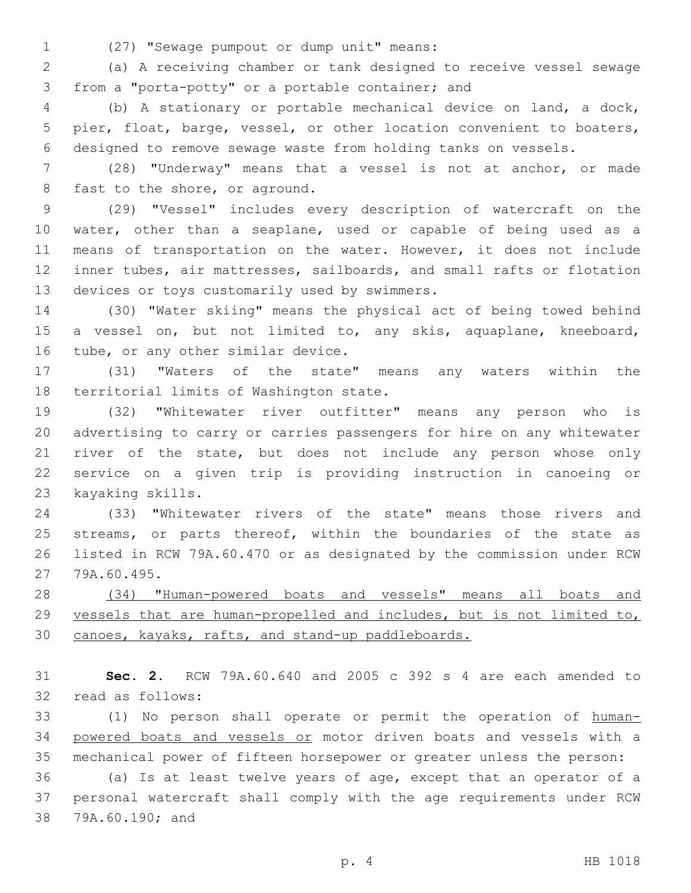(27) "Sewage pumpout or dump unit" means:1

 (a) A receiving chamber or tank designed to receive vessel sewage 3 from a "porta-potty" or a portable container; and

 (b) A stationary or portable mechanical device on land, a dock, pier, float, barge, vessel, or other location convenient to boaters, designed to remove sewage waste from holding tanks on vessels.

 (28) "Underway" means that a vessel is not at anchor, or made 8 fast to the shore, or aground.

 (29) "Vessel" includes every description of watercraft on the water, other than a seaplane, used or capable of being used as a means of transportation on the water. However, it does not include inner tubes, air mattresses, sailboards, and small rafts or flotation 13 devices or toys customarily used by swimmers.

 (30) "Water skiing" means the physical act of being towed behind a vessel on, but not limited to, any skis, aquaplane, kneeboard, 16 tube, or any other similar device.

 (31) "Waters of the state" means any waters within the 18 territorial limits of Washington state.

 (32) "Whitewater river outfitter" means any person who is advertising to carry or carries passengers for hire on any whitewater river of the state, but does not include any person whose only service on a given trip is providing instruction in canoeing or 23 kayaking skills.

 (33) "Whitewater rivers of the state" means those rivers and 25 streams, or parts thereof, within the boundaries of the state as listed in RCW 79A.60.470 or as designated by the commission under RCW 27 79A.60.495.

 (34) "Human-powered boats and vessels" means all boats and vessels that are human-propelled and includes, but is not limited to, canoes, kayaks, rafts, and stand-up paddleboards.

 **Sec. 2.** RCW 79A.60.640 and 2005 c 392 s 4 are each amended to 32 read as follows:

 (1) No person shall operate or permit the operation of human- powered boats and vessels or motor driven boats and vessels with a mechanical power of fifteen horsepower or greater unless the person:

 (a) Is at least twelve years of age, except that an operator of a personal watercraft shall comply with the age requirements under RCW 38 79A.60.190; and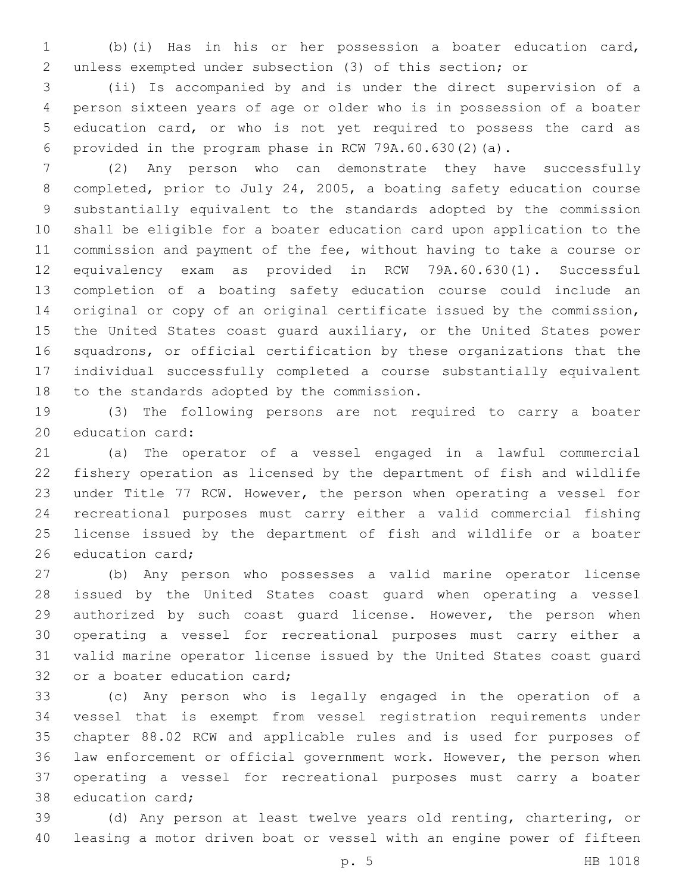(b)(i) Has in his or her possession a boater education card, unless exempted under subsection (3) of this section; or

 (ii) Is accompanied by and is under the direct supervision of a person sixteen years of age or older who is in possession of a boater education card, or who is not yet required to possess the card as provided in the program phase in RCW 79A.60.630(2)(a).

 (2) Any person who can demonstrate they have successfully completed, prior to July 24, 2005, a boating safety education course substantially equivalent to the standards adopted by the commission shall be eligible for a boater education card upon application to the commission and payment of the fee, without having to take a course or equivalency exam as provided in RCW 79A.60.630(1). Successful completion of a boating safety education course could include an original or copy of an original certificate issued by the commission, the United States coast guard auxiliary, or the United States power squadrons, or official certification by these organizations that the individual successfully completed a course substantially equivalent 18 to the standards adopted by the commission.

 (3) The following persons are not required to carry a boater 20 education card:

 (a) The operator of a vessel engaged in a lawful commercial fishery operation as licensed by the department of fish and wildlife under Title 77 RCW. However, the person when operating a vessel for recreational purposes must carry either a valid commercial fishing license issued by the department of fish and wildlife or a boater 26 education card:

 (b) Any person who possesses a valid marine operator license issued by the United States coast guard when operating a vessel 29 authorized by such coast quard license. However, the person when operating a vessel for recreational purposes must carry either a valid marine operator license issued by the United States coast guard 32 or a boater education card;

 (c) Any person who is legally engaged in the operation of a vessel that is exempt from vessel registration requirements under chapter 88.02 RCW and applicable rules and is used for purposes of law enforcement or official government work. However, the person when operating a vessel for recreational purposes must carry a boater 38 education card;

 (d) Any person at least twelve years old renting, chartering, or leasing a motor driven boat or vessel with an engine power of fifteen